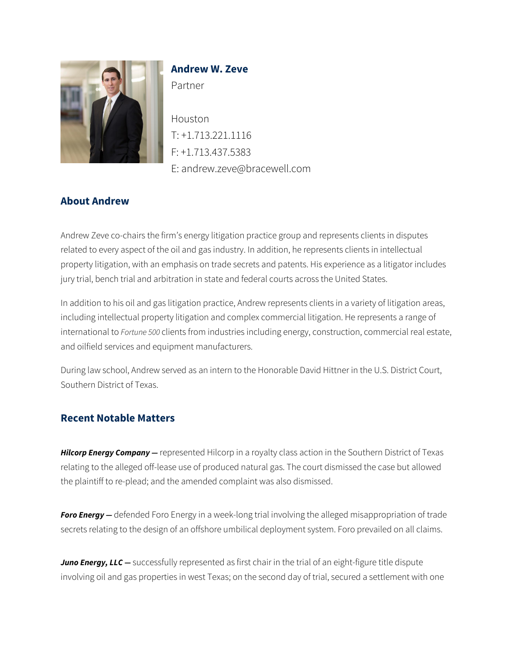

# **Andrew W. Zeve**

Partner

Houston T: +1.713.221.1116 F: +1.713.437.5383 E: andrew.zeve@bracewell.com

## **About Andrew**

Andrew Zeve co-chairs the firm's energy litigation practice group and represents clients in disputes related to every aspect of the oil and gas industry. In addition, he represents clients in intellectual property litigation, with an emphasis on trade secrets and patents. His experience as a litigator includes jury trial, bench trial and arbitration in state and federal courts across the United States.

In addition to his oil and gas litigation practice, Andrew represents clients in a variety of litigation areas, including intellectual property litigation and complex commercial litigation. He represents a range of international to *Fortune 500* clients from industries including energy, construction, commercial real estate, and oilfield services and equipment manufacturers.

During law school, Andrew served as an intern to the Honorable David Hittner in the U.S. District Court, Southern District of Texas.

## **Recent Notable Matters**

*Hilcorp Energy Company —* represented Hilcorp in a royalty class action in the Southern District of Texas relating to the alleged off-lease use of produced natural gas. The court dismissed the case but allowed the plaintiff to re-plead; and the amended complaint was also dismissed.

**Foro Energy** – defended Foro Energy in a week-long trial involving the alleged misappropriation of trade secrets relating to the design of an offshore umbilical deployment system. Foro prevailed on all claims.

*Juno Energy, LLC —* successfully represented as first chair in the trial of an eight-figure title dispute involving oil and gas properties in west Texas; on the second day of trial, secured a settlement with one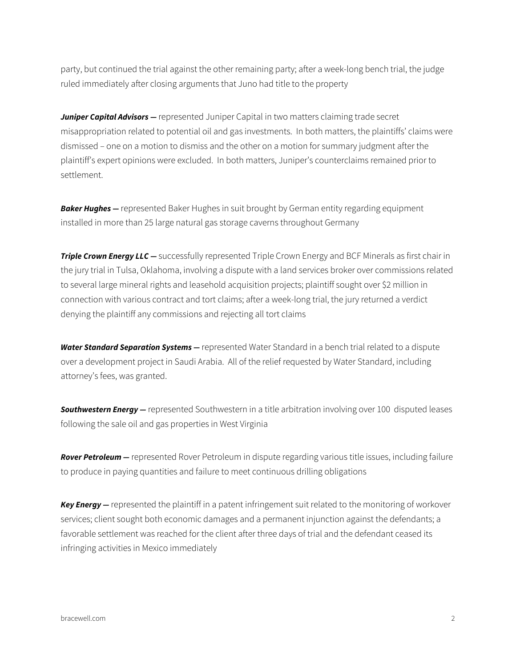party, but continued the trial against the other remaining party; after a week-long bench trial, the judge ruled immediately after closing arguments that Juno had title to the property

*Juniper Capital Advisors* — represented Juniper Capital in two matters claiming trade secret misappropriation related to potential oil and gas investments. In both matters, the plaintiffs' claims were dismissed – one on a motion to dismiss and the other on a motion for summary judgment after the plaintiff's expert opinions were excluded. In both matters, Juniper's counterclaims remained prior to settlement.

**Baker Hughes –** represented Baker Hughes in suit brought by German entity regarding equipment installed in more than 25 large natural gas storage caverns throughout Germany

*Triple Crown Energy LLC — successfully represented Triple Crown Energy and BCF Minerals as first chair in* the jury trial in Tulsa, Oklahoma, involving a dispute with a land services broker over commissions related to several large mineral rights and leasehold acquisition projects; plaintiff sought over \$2 million in connection with various contract and tort claims; after a week-long trial, the jury returned a verdict denying the plaintiff any commissions and rejecting all tort claims

*Water Standard Separation Systems —* represented Water Standard in a bench trial related to a dispute over a development project in Saudi Arabia. All of the relief requested by Water Standard, including attorney's fees, was granted.

*Southwestern Energy —* represented Southwestern in a title arbitration involving over 100 disputed leases following the sale oil and gas properties in West Virginia

*Rover Petroleum —* represented Rover Petroleum in dispute regarding various title issues, including failure to produce in paying quantities and failure to meet continuous drilling obligations

*Key Energy —* represented the plaintiff in a patent infringement suit related to the monitoring of workover services; client sought both economic damages and a permanent injunction against the defendants; a favorable settlement was reached for the client after three days of trial and the defendant ceased its infringing activities in Mexico immediately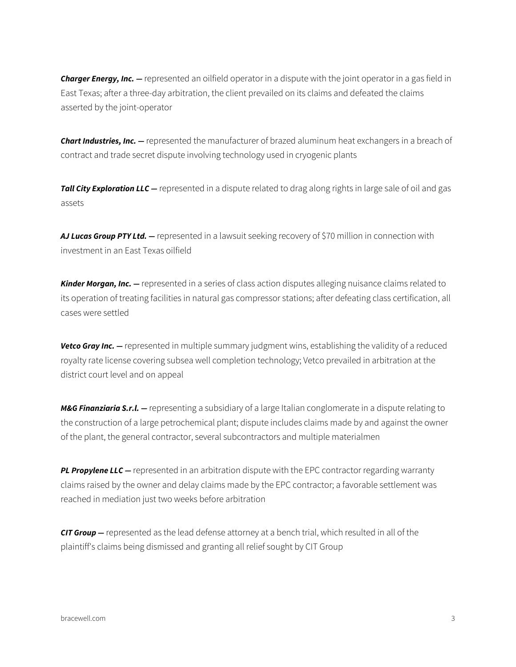*Charger Energy, Inc. —* represented an oilfield operator in a dispute with the joint operator in a gas field in East Texas; after a three-day arbitration, the client prevailed on its claims and defeated the claims asserted by the joint-operator

*Chart Industries, Inc. —* represented the manufacturer of brazed aluminum heat exchangers in a breach of contract and trade secret dispute involving technology used in cryogenic plants

*Tall City Exploration LLC —* represented in a dispute related to drag along rights in large sale of oil and gas assets

*AJ Lucas Group PTY Ltd. —* represented in a lawsuit seeking recovery of \$70 million in connection with investment in an East Texas oilfield

*Kinder Morgan, Inc. —* represented in a series of class action disputes alleging nuisance claims related to its operation of treating facilities in natural gas compressor stations; after defeating class certification, all cases were settled

**Vetco Gray Inc.** — represented in multiple summary judgment wins, establishing the validity of a reduced royalty rate license covering subsea well completion technology; Vetco prevailed in arbitration at the district court level and on appeal

*M&G Finanziaria S.r.l. —* representing a subsidiary of a large Italian conglomerate in a dispute relating to the construction of a large petrochemical plant; dispute includes claims made by and against the owner of the plant, the general contractor, several subcontractors and multiple materialmen

**PL Propylene LLC** — represented in an arbitration dispute with the EPC contractor regarding warranty claims raised by the owner and delay claims made by the EPC contractor; a favorable settlement was reached in mediation just two weeks before arbitration

*CIT Group —* represented as the lead defense attorney at a bench trial, which resulted in all of the plaintiff's claims being dismissed and granting all relief sought by CIT Group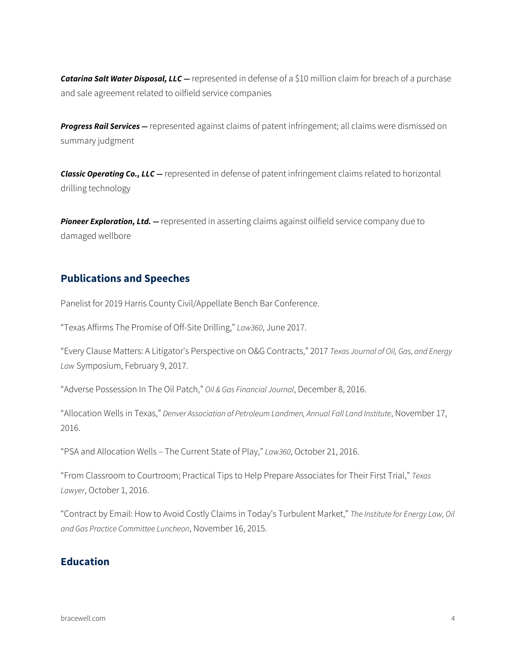*Catarina Salt Water Disposal, LLC —* represented in defense of a \$10 million claim for breach of a purchase and sale agreement related to oilfield service companies

*Progress Rail Services —* represented against claims of patent infringement; all claims were dismissed on summary judgment

*Classic Operating Co., LLC —* represented in defense of patent infringement claims related to horizontal drilling technology

**Pioneer Exploration, Ltd.** – represented in asserting claims against oilfield service company due to damaged wellbore

#### **Publications and Speeches**

Panelist for 2019 Harris County Civil/Appellate Bench Bar Conference.

"Texas Affirms The Promise of Off-Site Drilling," *Law360*, June 2017.

"Every Clause Matters: A Litigator's Perspective on O&G Contracts," 2017 *Texas Journal of Oil, Gas, and Energy Law* Symposium, February 9, 2017.

"Adverse Possession In The Oil Patch," *Oil & Gas Financial Journal*, December 8, 2016.

"Allocation Wells in Texas," *Denver Association of Petroleum Landmen, Annual Fall Land Institute*, November 17, 2016.

"PSA and Allocation Wells – The Current State of Play," *Law360*, October 21, 2016.

"From Classroom to Courtroom; Practical Tips to Help Prepare Associates for Their First Trial," *Texas Lawyer*, October 1, 2016.

"Contract by Email: How to Avoid Costly Claims in Today's Turbulent Market," *The Institute for Energy Law, Oil and Gas Practice Committee Luncheon*, November 16, 2015.

## **Education**